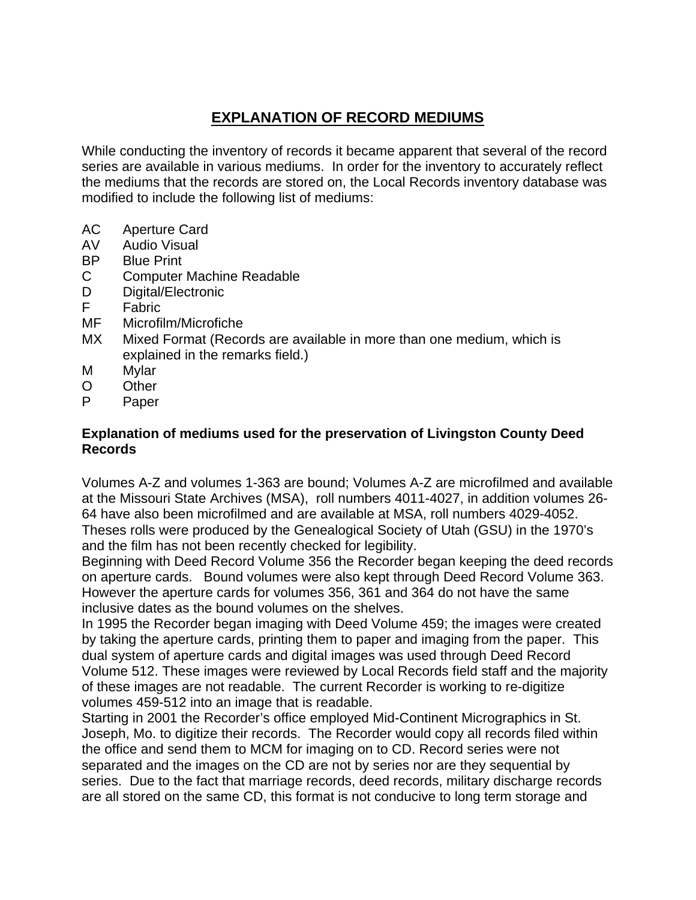## **EXPLANATION OF RECORD MEDIUMS**

While conducting the inventory of records it became apparent that several of the record series are available in various mediums. In order for the inventory to accurately reflect the mediums that the records are stored on, the Local Records inventory database was modified to include the following list of mediums:

- AC Aperture Card
- AV Audio Visual
- BP Blue Print
- C Computer Machine Readable
- D Digital/Electronic<br>F Fabric
- **Fabric**
- MF Microfilm/Microfiche
- MX Mixed Format (Records are available in more than one medium, which is explained in the remarks field.)
- M Mylar
- O Other
- P Paper

#### **Explanation of mediums used for the preservation of Livingston County Deed Records**

Volumes A-Z and volumes 1-363 are bound; Volumes A-Z are microfilmed and available at the Missouri State Archives (MSA), roll numbers 4011-4027, in addition volumes 26- 64 have also been microfilmed and are available at MSA, roll numbers 4029-4052. Theses rolls were produced by the Genealogical Society of Utah (GSU) in the 1970's and the film has not been recently checked for legibility.

Beginning with Deed Record Volume 356 the Recorder began keeping the deed records on aperture cards. Bound volumes were also kept through Deed Record Volume 363. However the aperture cards for volumes 356, 361 and 364 do not have the same inclusive dates as the bound volumes on the shelves.

In 1995 the Recorder began imaging with Deed Volume 459; the images were created by taking the aperture cards, printing them to paper and imaging from the paper. This dual system of aperture cards and digital images was used through Deed Record Volume 512. These images were reviewed by Local Records field staff and the majority of these images are not readable. The current Recorder is working to re-digitize volumes 459-512 into an image that is readable.

Starting in 2001 the Recorder's office employed Mid-Continent Micrographics in St. Joseph, Mo. to digitize their records. The Recorder would copy all records filed within the office and send them to MCM for imaging on to CD. Record series were not separated and the images on the CD are not by series nor are they sequential by series. Due to the fact that marriage records, deed records, military discharge records are all stored on the same CD, this format is not conducive to long term storage and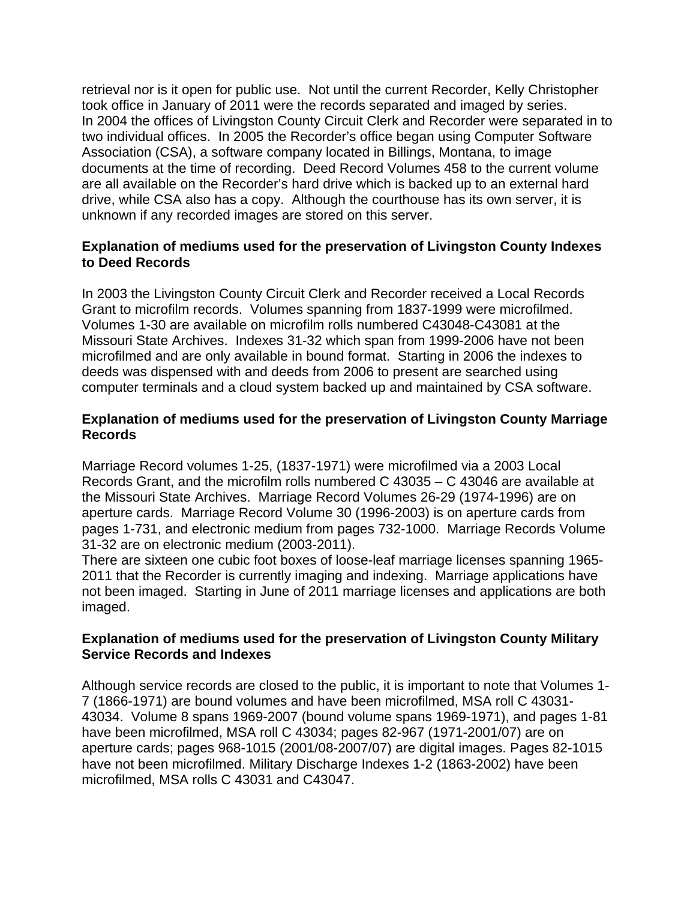retrieval nor is it open for public use. Not until the current Recorder, Kelly Christopher took office in January of 2011 were the records separated and imaged by series. In 2004 the offices of Livingston County Circuit Clerk and Recorder were separated in to two individual offices. In 2005 the Recorder's office began using Computer Software Association (CSA), a software company located in Billings, Montana, to image documents at the time of recording. Deed Record Volumes 458 to the current volume are all available on the Recorder's hard drive which is backed up to an external hard drive, while CSA also has a copy. Although the courthouse has its own server, it is unknown if any recorded images are stored on this server.

#### **Explanation of mediums used for the preservation of Livingston County Indexes to Deed Records**

In 2003 the Livingston County Circuit Clerk and Recorder received a Local Records Grant to microfilm records. Volumes spanning from 1837-1999 were microfilmed. Volumes 1-30 are available on microfilm rolls numbered C43048-C43081 at the Missouri State Archives. Indexes 31-32 which span from 1999-2006 have not been microfilmed and are only available in bound format. Starting in 2006 the indexes to deeds was dispensed with and deeds from 2006 to present are searched using computer terminals and a cloud system backed up and maintained by CSA software.

#### **Explanation of mediums used for the preservation of Livingston County Marriage Records**

Marriage Record volumes 1-25, (1837-1971) were microfilmed via a 2003 Local Records Grant, and the microfilm rolls numbered C 43035 – C 43046 are available at the Missouri State Archives. Marriage Record Volumes 26-29 (1974-1996) are on aperture cards. Marriage Record Volume 30 (1996-2003) is on aperture cards from pages 1-731, and electronic medium from pages 732-1000. Marriage Records Volume 31-32 are on electronic medium (2003-2011).

There are sixteen one cubic foot boxes of loose-leaf marriage licenses spanning 1965- 2011 that the Recorder is currently imaging and indexing. Marriage applications have not been imaged. Starting in June of 2011 marriage licenses and applications are both imaged.

#### **Explanation of mediums used for the preservation of Livingston County Military Service Records and Indexes**

Although service records are closed to the public, it is important to note that Volumes 1- 7 (1866-1971) are bound volumes and have been microfilmed, MSA roll C 43031- 43034. Volume 8 spans 1969-2007 (bound volume spans 1969-1971), and pages 1-81 have been microfilmed, MSA roll C 43034; pages 82-967 (1971-2001/07) are on aperture cards; pages 968-1015 (2001/08-2007/07) are digital images. Pages 82-1015 have not been microfilmed. Military Discharge Indexes 1-2 (1863-2002) have been microfilmed, MSA rolls C 43031 and C43047.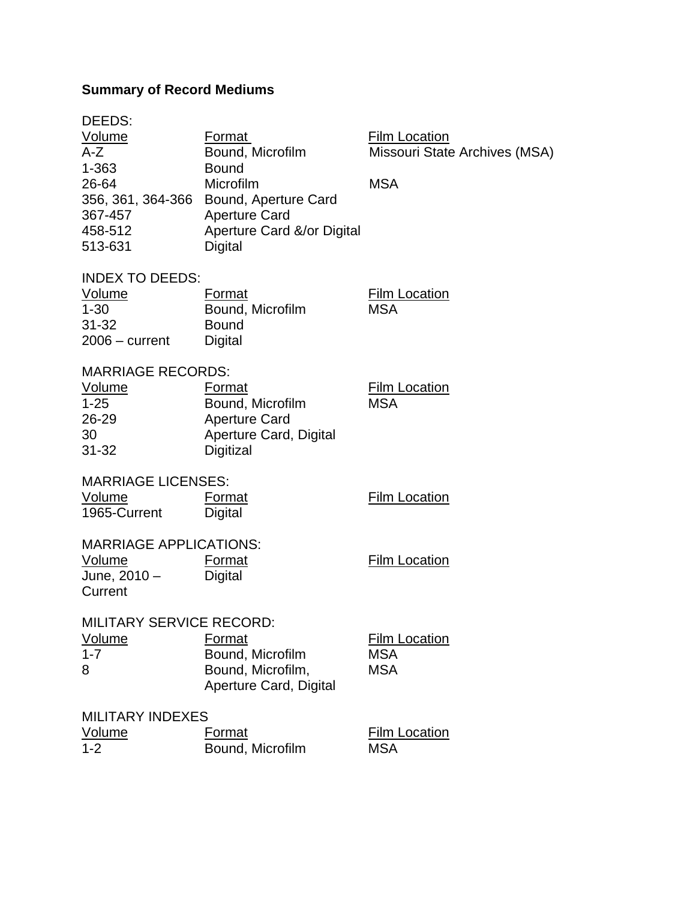# **Summary of Record Mediums**

| DEEDS:                 |                                        |                               |
|------------------------|----------------------------------------|-------------------------------|
| <u>Volume</u>          | Format                                 | <b>Film Location</b>          |
| $A-Z$                  | Bound, Microfilm                       | Missouri State Archives (MSA) |
| 1-363                  | <b>Bound</b>                           |                               |
| 26-64                  | Microfilm                              | <b>MSA</b>                    |
|                        | 356, 361, 364-366 Bound, Aperture Card |                               |
| 367-457                | <b>Aperture Card</b>                   |                               |
| 458-512                | Aperture Card &/or Digital             |                               |
| 513-631                | Digital                                |                               |
|                        |                                        |                               |
| <b>INDEX TO DEEDS:</b> |                                        |                               |

| Volume           | Format           | <b>Film Location</b> |
|------------------|------------------|----------------------|
| 1-30             | Bound, Microfilm | MSA                  |
| $31 - 32$        | <b>Bound</b>     |                      |
| $2006 - current$ | Digital          |                      |

| <b>MARRIAGE RECORDS:</b> |                        |                      |
|--------------------------|------------------------|----------------------|
| Volume                   | Format                 | <b>Film Location</b> |
| $1 - 25$                 | Bound, Microfilm       | MSA                  |
| $26 - 29$                | <b>Aperture Card</b>   |                      |
| 30                       | Aperture Card, Digital |                      |
| $31 - 32$                | <b>Digitizal</b>       |                      |

| <b>MARRIAGE LICENSES:</b><br>Volume<br>1965-Current                | Format<br>Digital                                                         | <b>Film Location</b>                             |
|--------------------------------------------------------------------|---------------------------------------------------------------------------|--------------------------------------------------|
| <b>MARRIAGE APPLICATIONS:</b><br>Volume<br>June, 2010 –<br>Current | Format<br>Digital                                                         | <b>Film Location</b>                             |
| <b>MILITARY SERVICE RECORD:</b><br>Volume<br>$1 - 7$<br>8          | Format<br>Bound, Microfilm<br>Bound, Microfilm,<br>Aperture Card, Digital | <b>Film Location</b><br><b>MSA</b><br><b>MSA</b> |
| <b>MILITARY INDEXES</b>                                            |                                                                           |                                                  |

| Volume  | Format           | <b>Film Location</b> |
|---------|------------------|----------------------|
| $1 - 2$ | Bound, Microfilm | <b>MSA</b>           |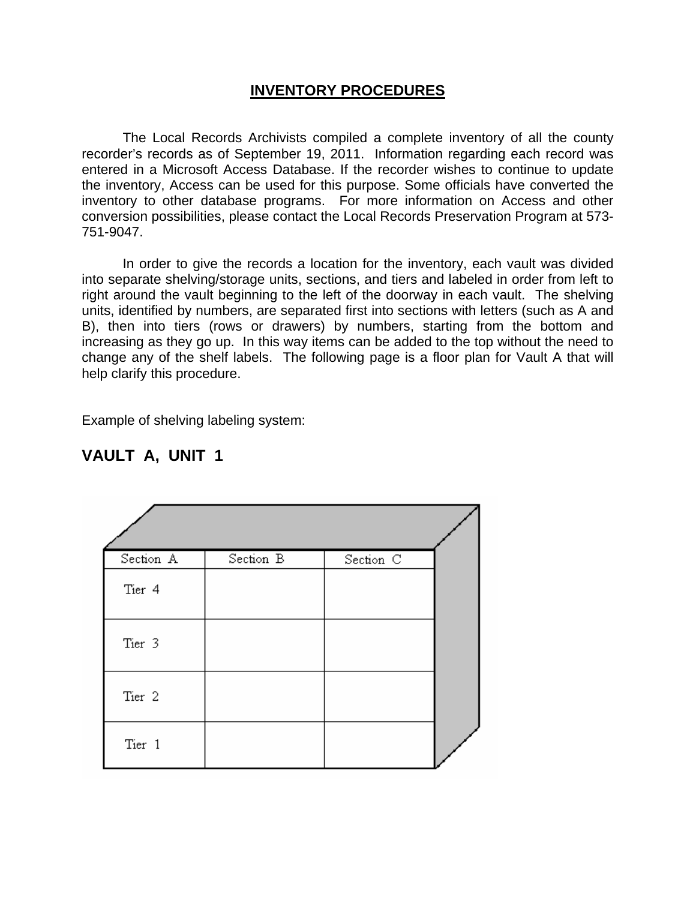#### **INVENTORY PROCEDURES**

The Local Records Archivists compiled a complete inventory of all the county recorder's records as of September 19, 2011. Information regarding each record was entered in a Microsoft Access Database. If the recorder wishes to continue to update the inventory, Access can be used for this purpose. Some officials have converted the inventory to other database programs. For more information on Access and other conversion possibilities, please contact the Local Records Preservation Program at 573- 751-9047.

In order to give the records a location for the inventory, each vault was divided into separate shelving/storage units, sections, and tiers and labeled in order from left to right around the vault beginning to the left of the doorway in each vault. The shelving units, identified by numbers, are separated first into sections with letters (such as A and B), then into tiers (rows or drawers) by numbers, starting from the bottom and increasing as they go up. In this way items can be added to the top without the need to change any of the shelf labels. The following page is a floor plan for Vault A that will help clarify this procedure.

Example of shelving labeling system:

| Section A         | Section B | Section C |  |
|-------------------|-----------|-----------|--|
| Tier 4            |           |           |  |
| Tier 3            |           |           |  |
| Tier <sub>2</sub> |           |           |  |
| Tier 1            |           |           |  |

## **VAULT A, UNIT 1**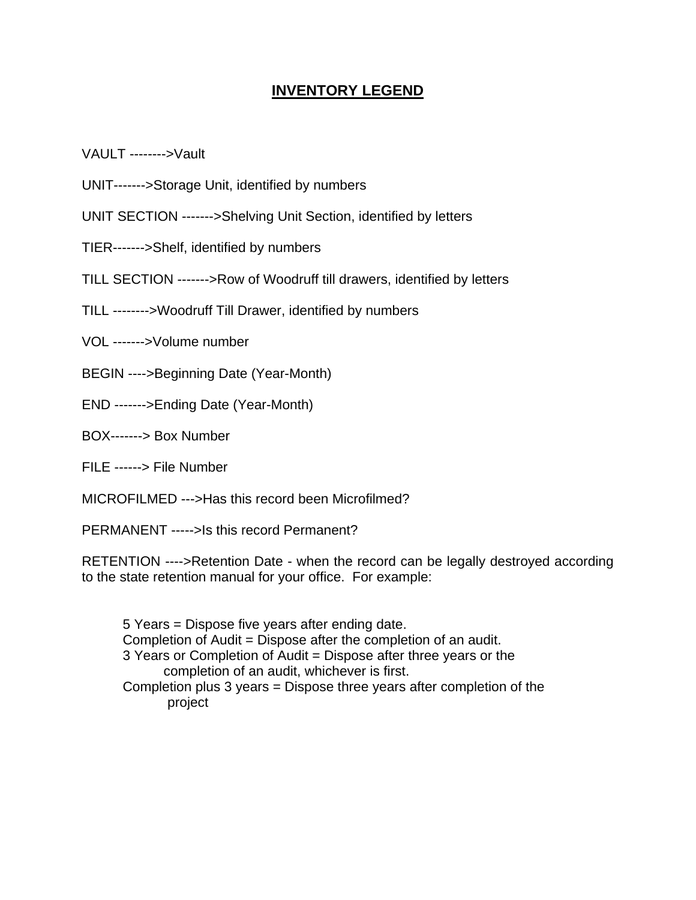### **INVENTORY LEGEND**

VAULT -------->Vault

- UNIT------->Storage Unit, identified by numbers
- UNIT SECTION ------->Shelving Unit Section, identified by letters
- TIER------->Shelf, identified by numbers
- TILL SECTION ------->Row of Woodruff till drawers, identified by letters
- TILL -------->Woodruff Till Drawer, identified by numbers
- VOL ------->Volume number
- BEGIN ---->Beginning Date (Year-Month)
- END ------->Ending Date (Year-Month)
- BOX-------> Box Number
- FILE ------> File Number
- MICROFILMED --->Has this record been Microfilmed?
- PERMANENT ----->Is this record Permanent?

RETENTION ---->Retention Date - when the record can be legally destroyed according to the state retention manual for your office. For example:

 5 Years = Dispose five years after ending date. Completion of Audit = Dispose after the completion of an audit. 3 Years or Completion of Audit = Dispose after three years or the completion of an audit, whichever is first. Completion plus 3 years = Dispose three years after completion of the project